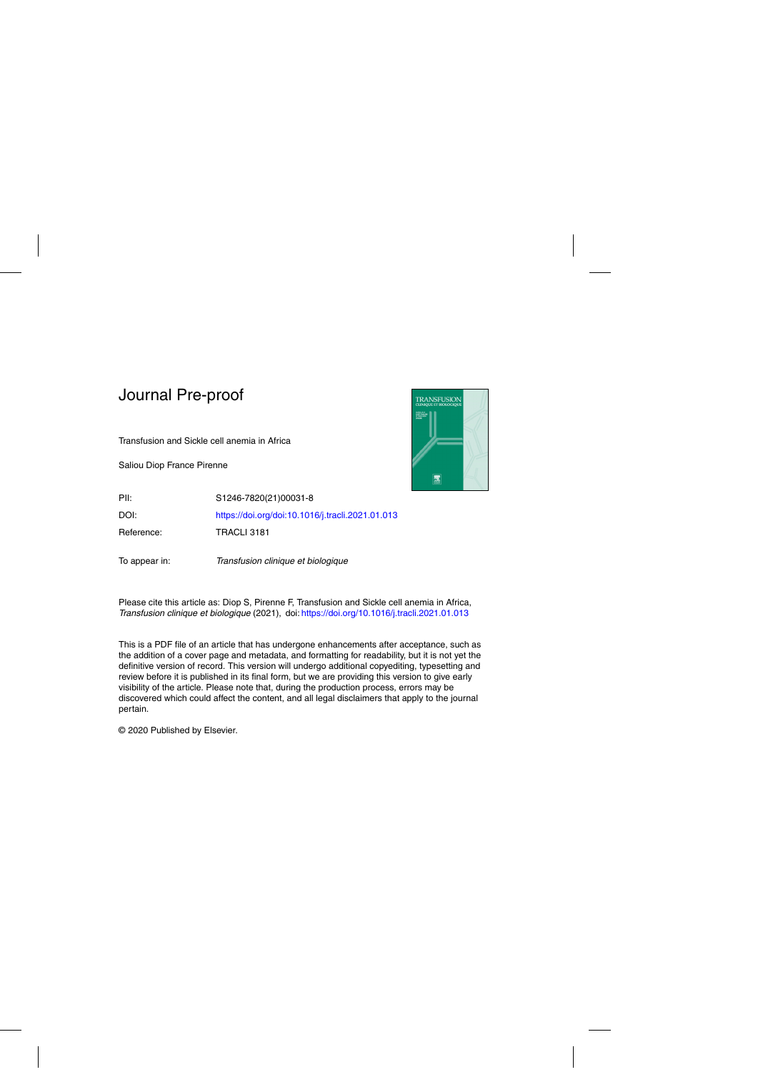Transfusion and Sickle cell anemia in Africa

Saliou Diop France Pirenne



PII: S1246-7820(21)00031-8 DOI: <https://doi.org/doi:10.1016/j.tracli.2021.01.013> Reference: TRACLI 3181

To appear in: Transfusion clinique et biologique

Please cite this article as: Diop S, Pirenne F, Transfusion and Sickle cell anemia in Africa, Transfusion clinique et biologique (2021), doi: <https://doi.org/10.1016/j.tracli.2021.01.013>

This is a PDF file of an article that has undergone enhancements after acceptance, such as the addition of a cover page and metadata, and formatting for readability, but it is not yet the definitive version of record. This version will undergo additional copyediting, typesetting and review before it is published in its final form, but we are providing this version to give early visibility of the article. Please note that, during the production process, errors may be discovered which could affect the content, and all legal disclaimers that apply to the journal pertain.

© 2020 Published by Elsevier.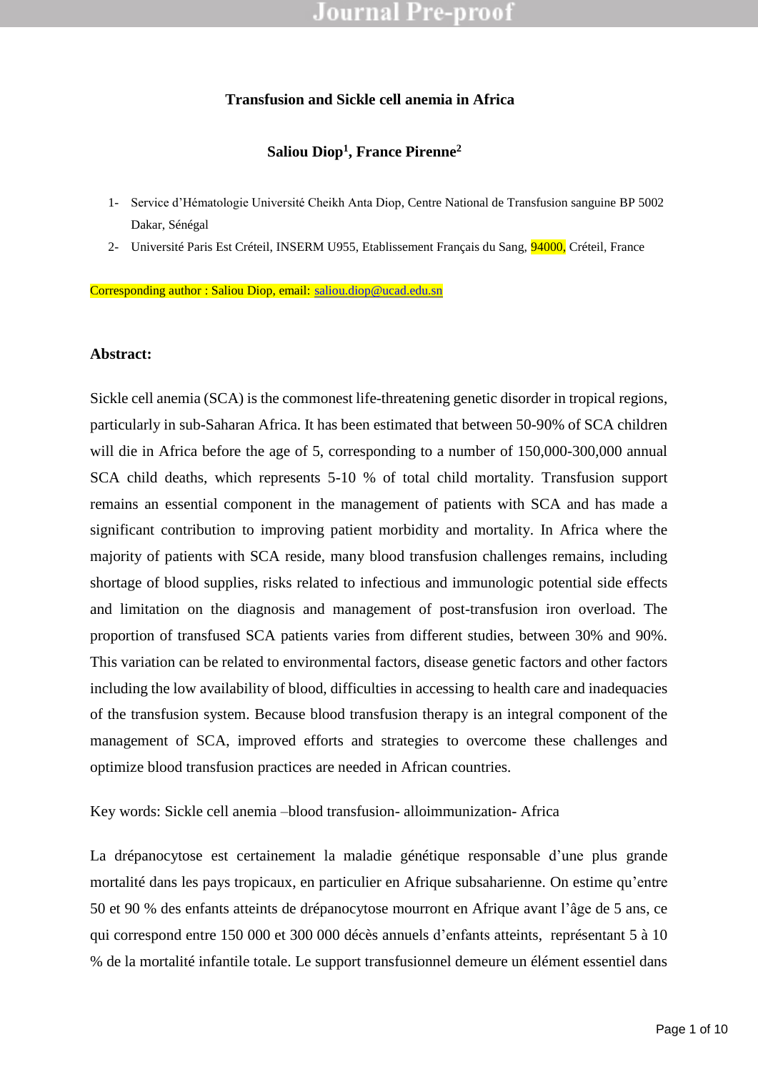### **Transfusion and Sickle cell anemia in Africa**

### **Saliou Diop<sup>1</sup> , France Pirenne<sup>2</sup>**

- 1- Service d'Hématologie Université Cheikh Anta Diop, Centre National de Transfusion sanguine BP 5002 Dakar, Sénégal
- 2- Université Paris Est Créteil, INSERM U955, Etablissement Français du Sang, 94000, Créteil, France

Corresponding author : Saliou Diop, email: [saliou.diop@ucad.edu.sn](mailto:saliou.diop@ucad.edu.sn)

#### **Abstract:**

Example 1<br>
1 anemia (SCA) is the commonest life-threatening genetic disorder in the<br>
1 y in sub-Saharan Africa. It has been estimated that between 50-90% of<br>
1 Africa before the age of 5, corresponding to a number of 150,0 Sickle cell anemia (SCA) is the commonest life-threatening genetic disorder in tropical regions, particularly in sub-Saharan Africa. It has been estimated that between 50-90% of SCA children will die in Africa before the age of 5, corresponding to a number of 150,000-300,000 annual SCA child deaths, which represents 5-10 % of total child mortality. Transfusion support remains an essential component in the management of patients with SCA and has made a significant contribution to improving patient morbidity and mortality. In Africa where the majority of patients with SCA reside, many blood transfusion challenges remains, including shortage of blood supplies, risks related to infectious and immunologic potential side effects and limitation on the diagnosis and management of post-transfusion iron overload. The proportion of transfused SCA patients varies from different studies, between 30% and 90%. This variation can be related to environmental factors, disease genetic factors and other factors including the low availability of blood, difficulties in accessing to health care and inadequacies of the transfusion system. Because blood transfusion therapy is an integral component of the management of SCA, improved efforts and strategies to overcome these challenges and optimize blood transfusion practices are needed in African countries.

Key words: Sickle cell anemia –blood transfusion- alloimmunization- Africa

La drépanocytose est certainement la maladie génétique responsable d'une plus grande mortalité dans les pays tropicaux, en particulier en Afrique subsaharienne. On estime qu'entre 50 et 90 % des enfants atteints de drépanocytose mourront en Afrique avant l'âge de 5 ans, ce qui correspond entre 150 000 et 300 000 décès annuels d'enfants atteints, représentant 5 à 10 % de la mortalité infantile totale. Le support transfusionnel demeure un élément essentiel dans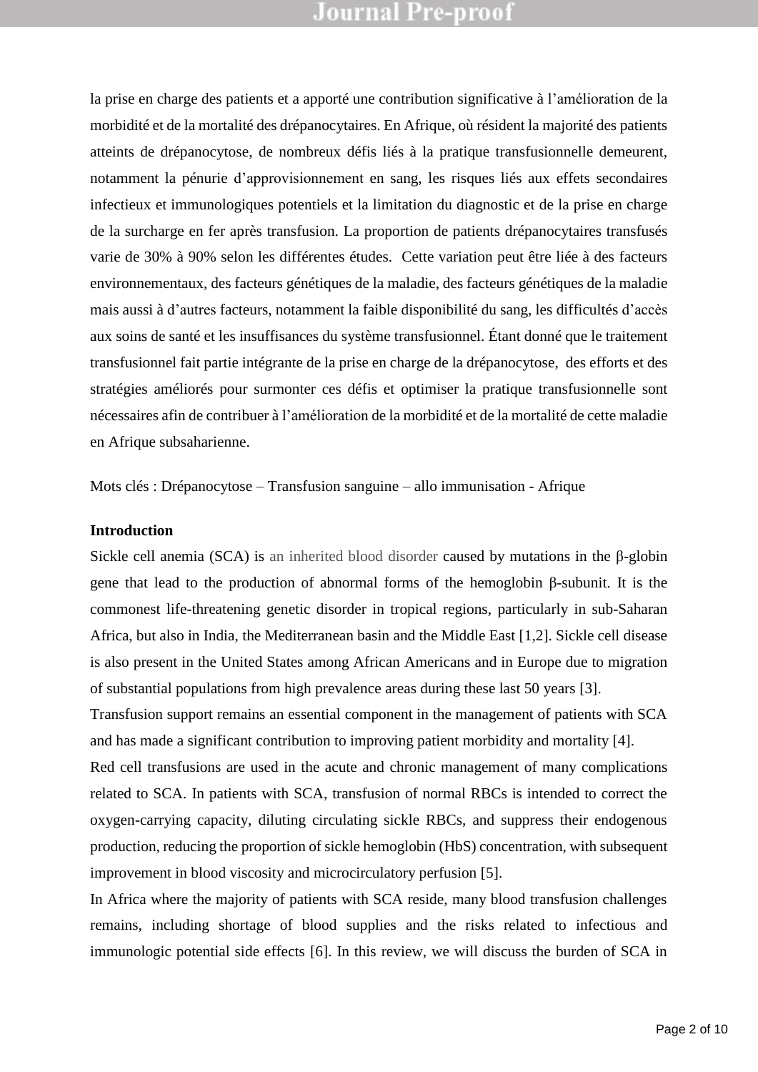la prise en charge des patients et a apporté une contribution significative à l'amélioration de la morbidité et de la mortalité des drépanocytaires. En Afrique, où résident la majorité des patients atteints de drépanocytose, de nombreux défis liés à la pratique transfusionnelle demeurent, notamment la pénurie d'approvisionnement en sang, les risques liés aux effets secondaires infectieux et immunologiques potentiels et la limitation du diagnostic et de la prise en charge de la surcharge en fer après transfusion. La proportion de patients drépanocytaires transfusés varie de 30% à 90% selon les différentes études. Cette variation peut être liée à des facteurs environnementaux, des facteurs génétiques de la maladie, des facteurs génétiques de la maladie mais aussi à d'autres facteurs, notamment la faible disponibilité du sang, les difficultés d'accès aux soins de santé et les insuffisances du système transfusionnel. Étant donné que le traitement transfusionnel fait partie intégrante de la prise en charge de la drépanocytose, des efforts et des stratégies améliorés pour surmonter ces défis et optimiser la pratique transfusionnelle sont nécessaires afin de contribuer à l'amélioration de la morbidité et de la mortalité de cette maladie en Afrique subsaharienne.

Mots clés : Drépanocytose – Transfusion sanguine – allo immunisation - Afrique

#### **Introduction**

de santé et les insuffisances du système transfusionnel. Étant donné que la dit partie intégrante de la prise en charge de la drépanocytose, de améliorés pour surmonter ces défis et optimiser la pratique transfusion sangui Sickle cell anemia (SCA) is an inherited blood disorder caused by mutations in the β-globin gene that lead to the production of abnormal forms of the hemoglobin β-subunit. It is the commonest life-threatening genetic disorder in tropical regions, particularly in sub-Saharan Africa, but also in India, the Mediterranean basin and the Middle East [1,2]. Sickle cell disease is also present in the United States among African Americans and in Europe due to migration of substantial populations from high prevalence areas during these last 50 years [3].

Transfusion support remains an essential component in the management of patients with SCA and has made a significant contribution to improving patient morbidity and mortality [4].

Red cell transfusions are used in the acute and chronic management of many complications related to SCA. In patients with SCA, transfusion of normal RBCs is intended to correct the oxygen-carrying capacity, diluting circulating sickle RBCs, and suppress their endogenous production, reducing the proportion of sickle hemoglobin (HbS) concentration, with subsequent improvement in blood viscosity and microcirculatory perfusion [5].

In Africa where the majority of patients with SCA reside, many blood transfusion challenges remains, including shortage of blood supplies and the risks related to infectious and immunologic potential side effects [6]. In this review, we will discuss the burden of SCA in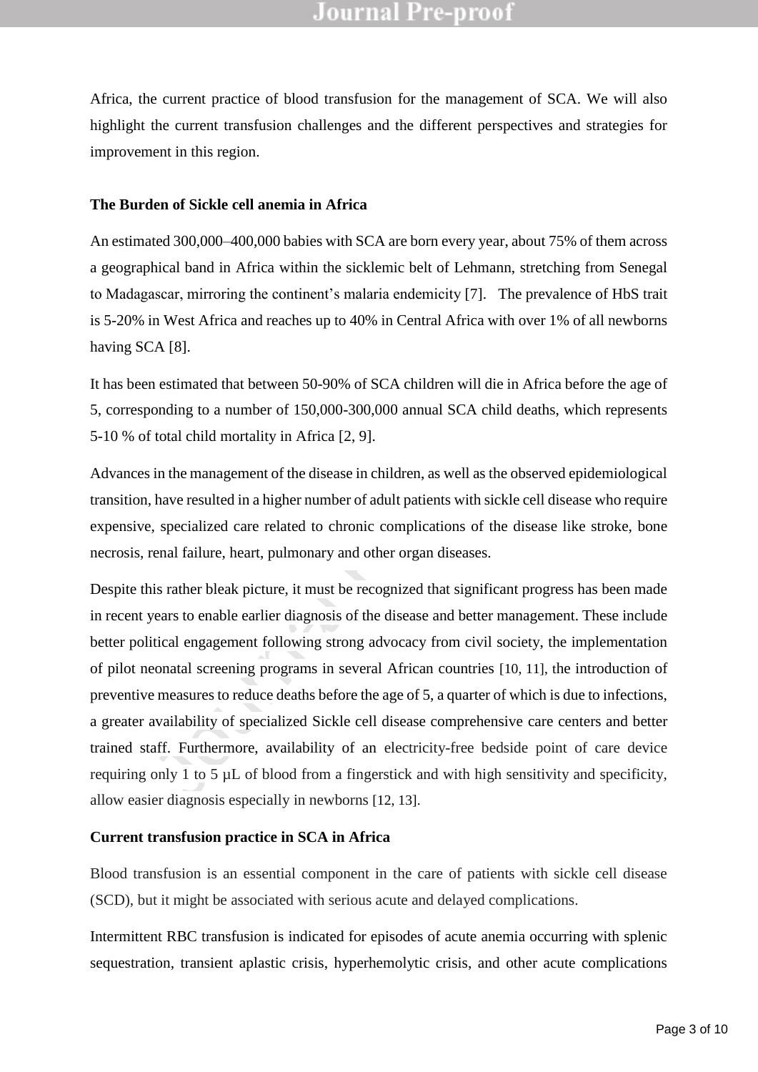Africa, the current practice of blood transfusion for the management of SCA. We will also highlight the current transfusion challenges and the different perspectives and strategies for improvement in this region.

#### **The Burden of Sickle cell anemia in Africa**

An estimated 300,000–400,000 babies with SCA are born every year, about 75% of them across a geographical band in Africa within the sicklemic belt of Lehmann, stretching from Senegal to Madagascar, mirroring the continent's malaria endemicity [7]. The prevalence of HbS trait is 5-20% in West Africa and reaches up to 40% in Central Africa with over 1% of all newborns having SCA [8].

It has been estimated that between 50-90% of SCA children will die in Africa before the age of 5, corresponding to a number of 150,000-300,000 annual SCA child deaths, which represents 5-10 % of total child mortality in Africa [2, 9].

Advances in the management of the disease in children, as well as the observed epidemiological transition, have resulted in a higher number of adult patients with sickle cell disease who require expensive, specialized care related to chronic complications of the disease like stroke, bone necrosis, renal failure, heart, pulmonary and other organ diseases.

In West Africa and reaches up to 40% in Central Africa with over 1% of<br>
2A [8].<br>
In estimated that between 50-90% of SCA children will die in Africa bo<br>
bonding to a number of 150,000-300,000 annual SCA child deaths, w<br>
f Despite this rather bleak picture, it must be recognized that significant progress has been made in recent years to enable earlier diagnosis of the disease and better management. These include better political engagement following strong advocacy from civil society, the implementation of pilot neonatal screening programs in several African countries [10, 11], the introduction of preventive measures to reduce deaths before the age of 5, a quarter of which is due to infections, a greater availability of specialized Sickle cell disease comprehensive care centers and better trained staff. Furthermore, availability of an electricity-free bedside point of care device requiring only 1 to 5 µL of blood from a fingerstick and with high sensitivity and specificity, allow easier diagnosis especially in newborns [12, 13].

#### **Current transfusion practice in SCA in Africa**

Blood transfusion is an essential component in the care of patients with sickle cell disease (SCD), but it might be associated with serious acute and delayed complications.

Intermittent RBC transfusion is indicated for episodes of acute anemia occurring with splenic sequestration, transient aplastic crisis, hyperhemolytic crisis, and other acute complications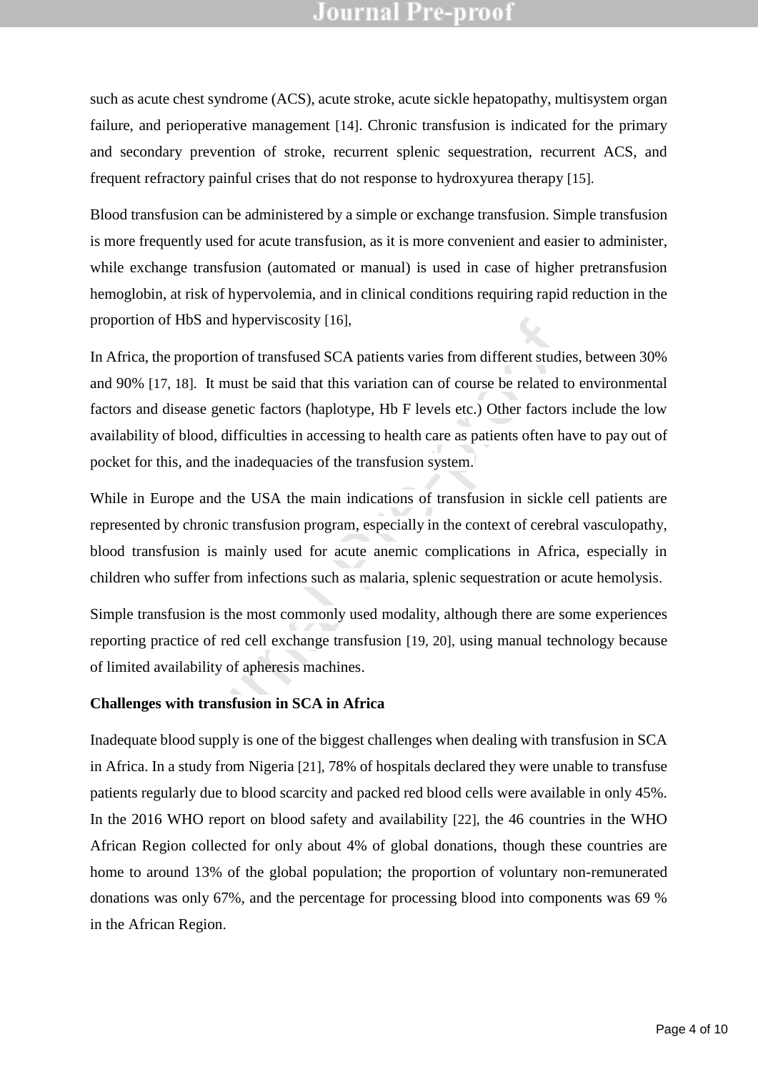such as acute chest syndrome (ACS), acute stroke, acute sickle hepatopathy, multisystem organ failure, and perioperative management [14]. Chronic transfusion is indicated for the primary and secondary prevention of stroke, recurrent splenic sequestration, recurrent ACS, and frequent refractory painful crises that do not response to hydroxyurea therapy [15].

Blood transfusion can be administered by a simple or exchange transfusion. Simple transfusion is more frequently used for acute transfusion, as it is more convenient and easier to administer, while exchange transfusion (automated or manual) is used in case of higher pretransfusion hemoglobin, at risk of hypervolemia, and in clinical conditions requiring rapid reduction in the proportion of HbS and hyperviscosity [16],

n of HbS and hyperviscosity [16],<br>the proportion of transfused SCA patients varies from different studies<br>[17, 18]. It must be said that this variation can of course be related to<br>d disease genetic factors (haplotype, Hb F In Africa, the proportion of transfused SCA patients varies from different studies, between 30% and 90% [17, 18]. It must be said that this variation can of course be related to environmental factors and disease genetic factors (haplotype, Hb F levels etc.) Other factors include the low availability of blood, difficulties in accessing to health care as patients often have to pay out of pocket for this, and the inadequacies of the transfusion system.

While in Europe and the USA the main indications of transfusion in sickle cell patients are represented by chronic transfusion program, especially in the context of cerebral vasculopathy, blood transfusion is mainly used for acute anemic complications in Africa, especially in children who suffer from infections such as malaria, splenic sequestration or acute hemolysis.

Simple transfusion is the most commonly used modality, although there are some experiences reporting practice of red cell exchange transfusion [19, 20], using manual technology because of limited availability of apheresis machines.

#### **Challenges with transfusion in SCA in Africa**

Inadequate blood supply is one of the biggest challenges when dealing with transfusion in SCA in Africa. In a study from Nigeria [21], 78% of hospitals declared they were unable to transfuse patients regularly due to blood scarcity and packed red blood cells were available in only 45%. In the 2016 WHO report on blood safety and availability [22], the 46 countries in the WHO African Region collected for only about 4% of global donations, though these countries are home to around 13% of the global population; the proportion of voluntary non-remunerated donations was only 67%, and the percentage for processing blood into components was 69 % in the African Region.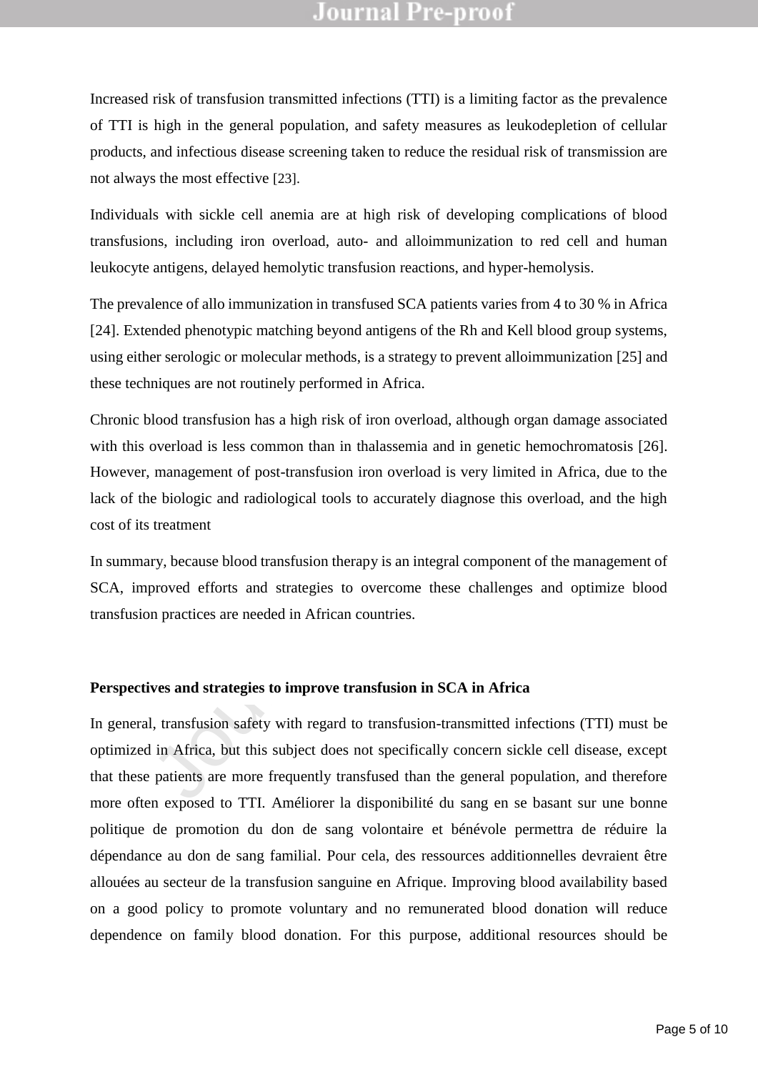Increased risk of transfusion transmitted infections (TTI) is a limiting factor as the prevalence of TTI is high in the general population, and safety measures as leukodepletion of cellular products, and infectious disease screening taken to reduce the residual risk of transmission are not always the most effective [23].

Individuals with sickle cell anemia are at high risk of developing complications of blood transfusions, including iron overload, auto- and alloimmunization to red cell and human leukocyte antigens, delayed hemolytic transfusion reactions, and hyper-hemolysis.

The prevalence of allo immunization in transfused SCA patients varies from 4 to 30 % in Africa [24]. Extended phenotypic matching beyond antigens of the Rh and Kell blood group systems, using either serologic or molecular methods, is a strategy to prevent alloimmunization [25] and these techniques are not routinely performed in Africa.

ended phenotypic matching beyond antigens of the Rh and Kell blood<br>per serologic or molecular methods, is a strategy to prevent alloimmuni<br>miques are not routinely performed in Africa.<br>Jood transfusion has a high risk of i Chronic blood transfusion has a high risk of iron overload, although organ damage associated with this overload is less common than in thalassemia and in genetic hemochromatosis [26]. However, management of post-transfusion iron overload is very limited in Africa, due to the lack of the biologic and radiological tools to accurately diagnose this overload, and the high cost of its treatment

In summary, because blood transfusion therapy is an integral component of the management of SCA, improved efforts and strategies to overcome these challenges and optimize blood transfusion practices are needed in African countries.

#### **Perspectives and strategies to improve transfusion in SCA in Africa**

In general, transfusion safety with regard to transfusion-transmitted infections (TTI) must be optimized in Africa, but this subject does not specifically concern sickle cell disease, except that these patients are more frequently transfused than the general population, and therefore more often exposed to TTI. Améliorer la disponibilité du sang en se basant sur une bonne politique de promotion du don de sang volontaire et bénévole permettra de réduire la dépendance au don de sang familial. Pour cela, des ressources additionnelles devraient être allouées au secteur de la transfusion sanguine en Afrique. Improving blood availability based on a good policy to promote voluntary and no remunerated blood donation will reduce dependence on family blood donation. For this purpose, additional resources should be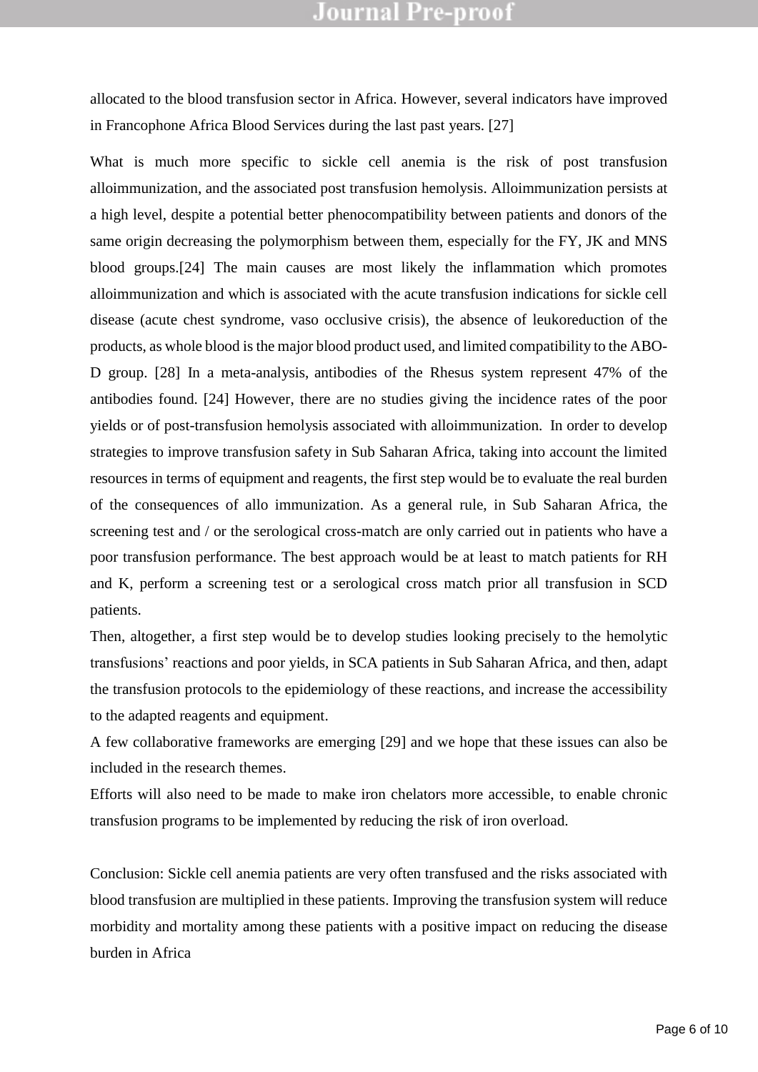allocated to the blood transfusion sector in Africa. However, several indicators have improved in Francophone Africa Blood Services during the last past years. [27]

icule chest syndrome, vaso occlusive crisis), the absence of leukore<br>as whole blood is the major blood product used, and limited compatibil<br>[28] In a meta-analysis, antibodies of the Rhesus system represe<br>s found. [24] How What is much more specific to sickle cell anemia is the risk of post transfusion alloimmunization, and the associated post transfusion hemolysis. Alloimmunization persists at a high level, despite a potential better phenocompatibility between patients and donors of the same origin decreasing the polymorphism between them, especially for the FY, JK and MNS blood groups.[24] The main causes are most likely the inflammation which promotes alloimmunization and which is associated with the acute transfusion indications for sickle cell disease (acute chest syndrome, vaso occlusive crisis), the absence of leukoreduction of the products, as whole blood is the major blood product used, and limited compatibility to the ABO-D group. [28] In a meta-analysis, antibodies of the Rhesus system represent 47% of the antibodies found. [24] However, there are no studies giving the incidence rates of the poor yields or of post-transfusion hemolysis associated with alloimmunization. In order to develop strategies to improve transfusion safety in Sub Saharan Africa, taking into account the limited resources in terms of equipment and reagents, the first step would be to evaluate the real burden of the consequences of allo immunization. As a general rule, in Sub Saharan Africa, the screening test and / or the serological cross-match are only carried out in patients who have a poor transfusion performance. The best approach would be at least to match patients for RH and K, perform a screening test or a serological cross match prior all transfusion in SCD patients.

Then, altogether, a first step would be to develop studies looking precisely to the hemolytic transfusions' reactions and poor yields, in SCA patients in Sub Saharan Africa, and then, adapt the transfusion protocols to the epidemiology of these reactions, and increase the accessibility to the adapted reagents and equipment.

A few collaborative frameworks are emerging [29] and we hope that these issues can also be included in the research themes.

Efforts will also need to be made to make iron chelators more accessible, to enable chronic transfusion programs to be implemented by reducing the risk of iron overload.

Conclusion: Sickle cell anemia patients are very often transfused and the risks associated with blood transfusion are multiplied in these patients. Improving the transfusion system will reduce morbidity and mortality among these patients with a positive impact on reducing the disease burden in Africa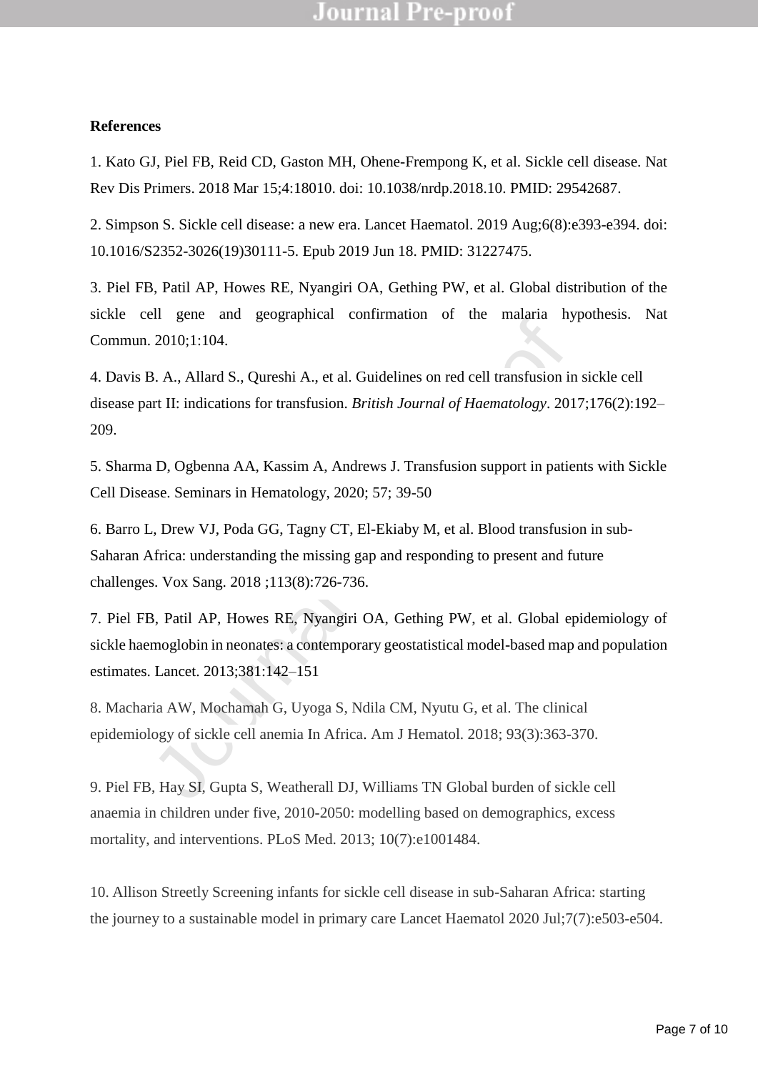#### **References**

1. Kato GJ, Piel FB, Reid CD, Gaston MH, Ohene-Frempong K, et al. Sickle cell disease. Nat Rev Dis Primers. 2018 Mar 15;4:18010. doi: 10.1038/nrdp.2018.10. PMID: 29542687.

2. Simpson S. Sickle cell disease: a new era. Lancet Haematol. 2019 Aug;6(8):e393-e394. doi: 10.1016/S2352-3026(19)30111-5. Epub 2019 Jun 18. PMID: 31227475.

3. Piel FB, Patil AP, Howes RE, Nyangiri OA, Gething PW, et al. Global distribution of the sickle cell gene and geographical confirmation of the malaria hypothesis. Nat Commun. 2010;1:104.

4. Davis B. A., Allard S., Qureshi A., et al. Guidelines on red cell transfusion in sickle cell disease part II: indications for transfusion. *British Journal of Haematology*. 2017;176(2):192– 209.

5. Sharma D, Ogbenna AA, Kassim A, Andrews J. Transfusion support in patients with Sickle Cell Disease. Seminars in Hematology, 2020; 57; 39-50

6. Barro L, Drew VJ, Poda GG, Tagny CT, El-Ekiaby M, et al. Blood transfusion in sub-Saharan Africa: understanding the missing gap and responding to present and future challenges. Vox Sang. 2018 ;113(8):726-736.

2010;1:104.<br>
3. A., Allard S., Qureshi A., et al. Guidelines on red cell transfusion in<br>
1. 2010;1:104.<br>
3. A., Allard S., Qureshi A., et al. Guidelines on red cell transfusion in<br>
1. II: indications for transfusion. *Brit* 7. Piel FB, Patil AP, Howes RE, Nyangiri OA, Gething PW, et al. Global epidemiology of sickle haemoglobin in neonates: a contemporary geostatistical model-based map and population estimates. Lancet. 2013;381:142–151

8. Macharia AW, Mochamah G, Uyoga S, Ndila CM, Nyutu G, et al. The clinical epidemiology of sickle cell anemia In Africa. Am J Hematol. 2018; 93(3):363-370.

9. Piel FB, Hay SI, Gupta S, Weatherall DJ, Williams TN Global burden of sickle cell anaemia in children under five, 2010-2050: modelling based on demographics, excess mortality, and interventions. PLoS Med. 2013; 10(7):e1001484.

10. Allison Streetly Screening infants for sickle cell disease in sub-Saharan Africa: starting the journey to a sustainable model in primary care Lancet Haematol 2020 Jul;7(7):e503-e504.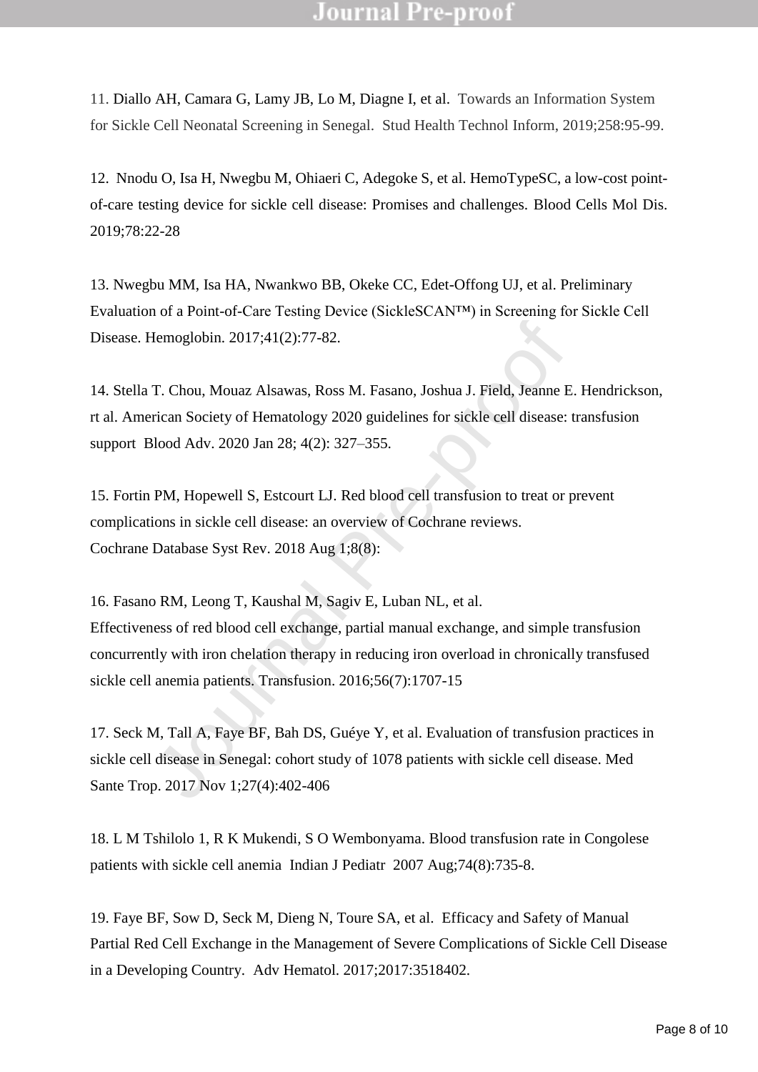11. Diallo AH, Camara G, Lamy JB, Lo M, Diagne I, et al. Towards an Information System for Sickle Cell Neonatal Screening in Senegal. Stud Health Technol Inform, 2019;258:95-99.

12. Nnodu O, Isa H, Nwegbu M, Ohiaeri C, Adegoke S, et al. [HemoTypeSC, a low-cost point](https://pubmed.ncbi.nlm.nih.gov/30773433/)[of-care testing device for sickle cell disease: Promises and challenges.](https://pubmed.ncbi.nlm.nih.gov/30773433/) Blood Cells Mol Dis. 2019;78:22-28

13. Nwegbu MM, Isa HA, Nwankwo BB, Okeke CC, Edet-Offong UJ, et al. [Preliminary](https://pubmed.ncbi.nlm.nih.gov/28617057/)  [Evaluation of a Point-of-Care Testing Device \(SickleSCAN™\) in Screening for Sickle Cell](https://pubmed.ncbi.nlm.nih.gov/28617057/)  [Disease.](https://pubmed.ncbi.nlm.nih.gov/28617057/) Hemoglobin. 2017;41(2):77-82.

14. Stella T. Chou, Mouaz Alsawas, Ross M. Fasano, Joshua J. Field, Jeanne E. Hendrickson, rt al. American Society of Hematology 2020 guidelines for sickle cell disease: transfusion support Blood Adv. 2020 Jan 28; 4(2): 327–355.

15. Fortin PM, Hopewell S, Estcourt LJ. Red blood cell transfusion to treat or prevent complications in sickle cell disease: an overview of Cochrane reviews. Cochrane Database Syst Rev. 2018 Aug 1;8(8):

Hemoglobin. 2017;41(2):77-82.<br>
T. Chou, Mouaz Alsawas, Ross M. Fasano, Joshua J. Field, Jeanne E.<br>
Frican Society of Hematology 2020 guidelines for sickle cell disease: t<br>
Blood Adv. 2020 Jan 28; 4(2): 327–355.<br>
NPM, Hopew 16. Fasano RM, Leong T, Kaushal M, Sagiv E, Luban NL, et al. Effectiveness of red blood cell exchange, partial manual exchange, and simple transfusion concurrently with iron chelation therapy in reducing iron overload in chronically transfused sickle cell anemia patients. Transfusion. 2016;56(7):1707-15

17. Seck M, Tall A, Faye BF, Bah DS, Guéye Y, et al. Evaluation of transfusion practices in sickle cell disease in Senegal: cohort study of 1078 patients with sickle cell disease. Med Sante Trop. 2017 Nov 1;27(4):402-406

18. L M Tshilolo 1, R K Mukendi, S O Wembonyama. Blood transfusion rate in Congolese patients with sickle cell anemia Indian J Pediatr 2007 Aug;74(8):735-8.

19. Faye BF, Sow D, Seck M, Dieng N, Toure SA, et al. Efficacy and Safety of Manual Partial Red Cell Exchange in the Management of Severe Complications of Sickle Cell Disease in a Developing Country. Adv Hematol. 2017;2017:3518402.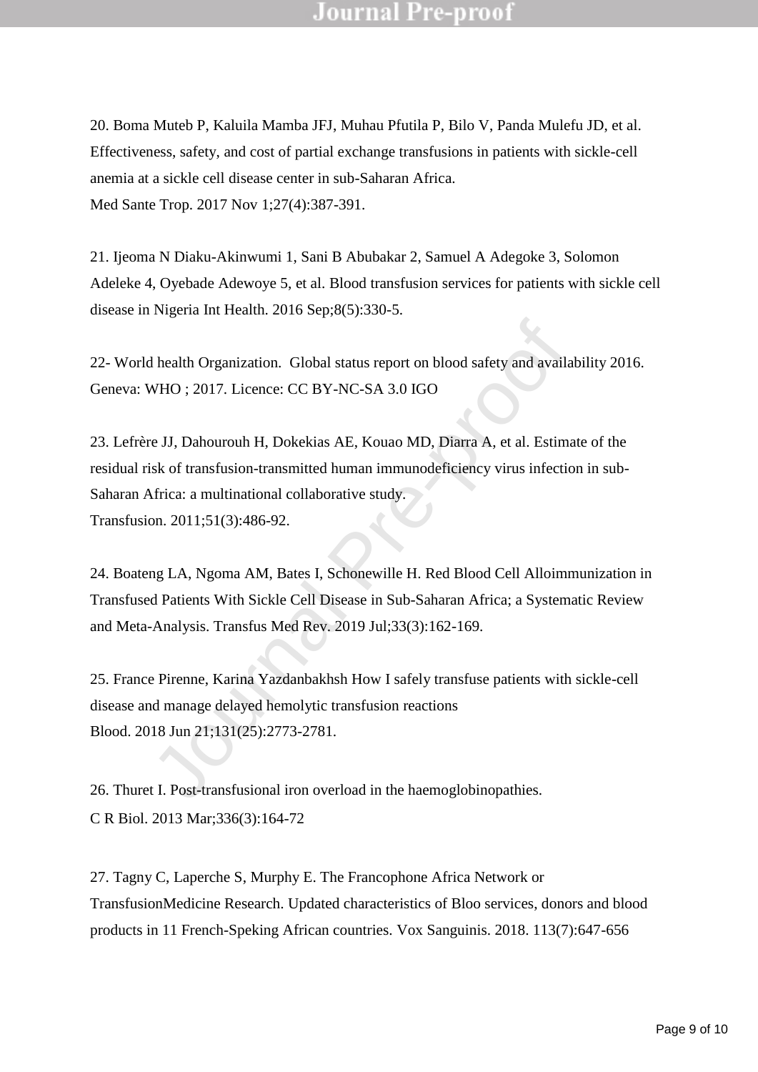20. Boma Muteb P, Kaluila Mamba JFJ, Muhau Pfutila P, Bilo V, Panda Mulefu JD, et al. Effectiveness, safety, and cost of partial exchange transfusions in patients with sickle-cell anemia at a sickle cell disease center in sub-Saharan Africa. Med Sante Trop. 2017 Nov 1;27(4):387-391.

21. Ijeoma N Diaku-Akinwumi 1, Sani B Abubakar 2, Samuel A Adegoke 3, Solomon Adeleke 4, Oyebade Adewoye 5, et al. Blood transfusion services for patients with sickle cell disease in Nigeria Int Health. 2016 Sep;8(5):330-5.

22- World health Organization. Global status report on blood safety and availability 2016. Geneva: WHO ; 2017. Licence: CC BY-NC-SA 3.0 IGO

d health Organization. Global status report on blood safety and availad MHO ; 2017. Licence: CC BY-NC-SA 3.0 IGO<br>re JJ, Dahourouh H, Dokekias AE, Kouao MD, Diarra A, et al. Estima<br>isk of transfusion-transmitted human immun 23. Lefrère JJ, Dahourouh H, Dokekias AE, Kouao MD, Diarra A, et al. Estimate of the residual risk of transfusion-transmitted human immunodeficiency virus infection in sub-Saharan Africa: a multinational collaborative study. Transfusion. 2011;51(3):486-92.

24. Boateng LA, Ngoma AM, Bates I, Schonewille H. Red Blood Cell Alloimmunization in Transfused Patients With Sickle Cell Disease in Sub-Saharan Africa; a Systematic Review and Meta-Analysis. Transfus Med Rev. 2019 Jul;33(3):162-169.

25. France Pirenne, Karina Yazdanbakhsh How I safely transfuse patients with sickle-cell disease and manage delayed hemolytic transfusion reactions Blood. 2018 Jun 21;131(25):2773-2781.

26. Thuret I. Post-transfusional iron overload in the haemoglobinopathies. C R Biol. 2013 Mar;336(3):164-72

27. Tagny C, Laperche S, Murphy E. The Francophone Africa Network or TransfusionMedicine Research. Updated characteristics of Bloo services, donors and blood products in 11 French-Speking African countries. Vox Sanguinis. 2018. 113(7):647-656